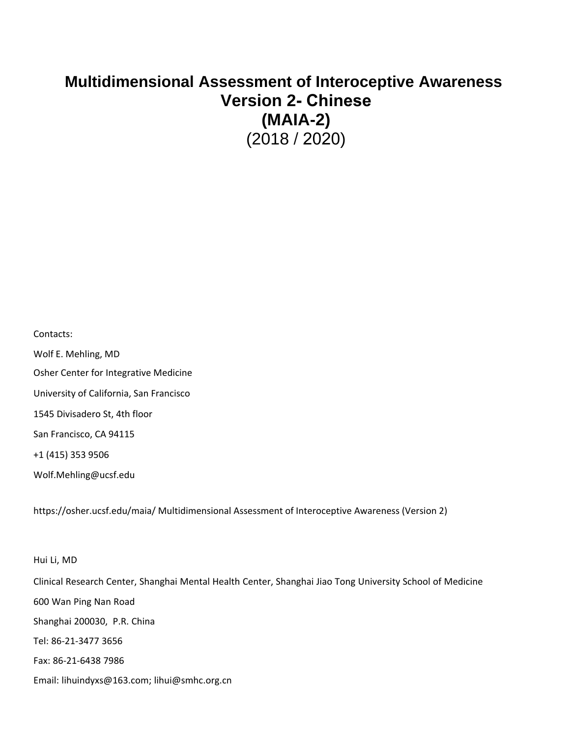## **Multidimensional Assessment of Interoceptive Awareness Version 2- Chinese (MAIA-2)** (2018 / 2020)

Contacts:

Wolf E. Mehling, MD Osher Center for Integrative Medicine University of California, San Francisco 1545 Divisadero St, 4th floor San Francisco, CA 94115 +1 (415) 353 9506 Wolf.Mehling@ucsf.edu

https://osher.ucsf.edu/maia/ Multidimensional Assessment of Interoceptive Awareness (Version 2)

Hui Li, MD Clinical Research Center, Shanghai Mental Health Center, Shanghai Jiao Tong University School of Medicine 600 Wan Ping Nan Road Shanghai 200030, P.R. China Tel: 86-21-3477 3656 Fax: 86-21-6438 7986 Email: lihuindyxs@163.com; lihui@smhc.org.cn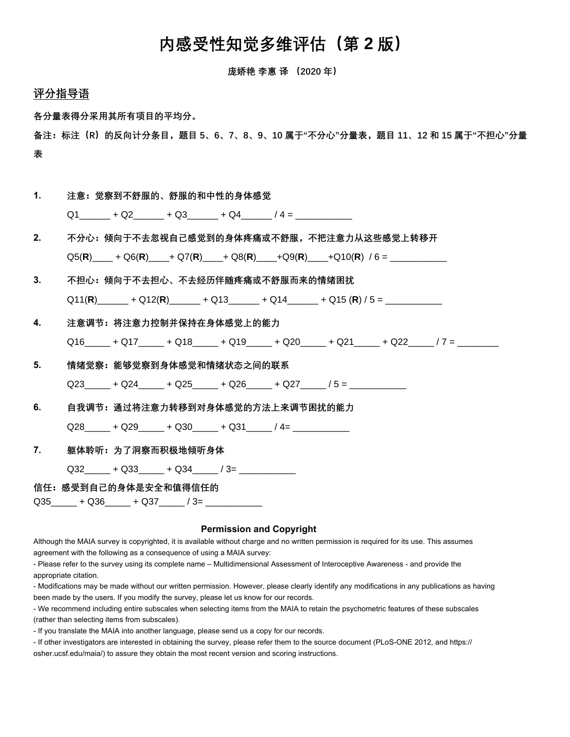## 内感受性知觉多维评估(第 **2** 版)

庞娇艳 李惠 译 (2020 年)

## 评分指导语

各分量表得分采用其所有项目的平均分。

备注:标注(R)的反向计分条目,题目 5、6、7、8、9、10 属于"不分心"分量表,题目 11、12 和 15 属于"不担心"分量 表

| 1.             | 注意:觉察到不舒服的、舒服的和中性的身体感觉                                                    |
|----------------|---------------------------------------------------------------------------|
|                | $Q1$ + Q2 + Q3 + Q4 /4 =                                                  |
| 2 <sub>1</sub> | 不分心:倾向于不去忽视自己感觉到的身体疼痛或不舒服,不把注意力从这些感觉上转移开                                  |
|                | $Q5(R)$ + $Q6(R)$ + $Q7(R)$ + $Q8(R)$ + $Q9(R)$ + $Q10(R)$ / 6 =          |
| 3.             | 不担心:倾向于不夫担心、不夫经历伴随疼痛或不舒服而来的情绪困扰                                           |
|                | $Q11(R)$ + $Q12(R)$ + $Q13$ + $Q14$ + $Q15(R)$ / $5 =$ $\frac{Q11(R)}{R}$ |
| 4.             | 注意调节:将注意力控制并保持在身体感觉上的能力                                                   |
|                | $Q16$ $+ Q17$ $+ Q18$ $+ Q19$ $+ Q20$ $+ Q21$ $+ Q22$ $/7$ $ -$           |
| 5.             | 情绪觉察:能够觉察到身体感觉和情绪状态之间的联系                                                  |
|                | Q23 + Q24 + Q25 + Q26 + Q27 / 5 =                                         |
| 6.             | 自我调节: 通过将注意力转移到对身体感觉的方法上来调节困扰的能力                                          |
|                | $Q28$ + Q29 + Q30 + Q31 /4=                                               |
|                | 躯体聆听:为了洞察而积极地倾听身体                                                         |
|                | $Q32 + Q33 + Q34 / 3 =$                                                   |
|                | 信任:感受到自己的身体是安全和值得信任的                                                      |
|                | Q35______ + Q36_____ + Q37______ / 3= ____________                        |

## **Permission and Copyright**

Although the MAIA survey is copyrighted, it is available without charge and no written permission is required for its use. This assumes agreement with the following as a consequence of using a MAIA survey:

- Please refer to the survey using its complete name – Multidimensional Assessment of Interoceptive Awareness - and provide the appropriate citation.

- Modifications may be made without our written permission. However, please clearly identify any modifications in any publications as having been made by the users. If you modify the survey, please let us know for our records.

- We recommend including entire subscales when selecting items from the MAIA to retain the psychometric features of these subscales (rather than selecting items from subscales).

- If you translate the MAIA into another language, please send us a copy for our records.

- If other investigators are interested in obtaining the survey, please refer them to the source document (PLoS-ONE 2012, and https:// osher.ucsf.edu/maia/) to assure they obtain the most recent version and scoring instructions.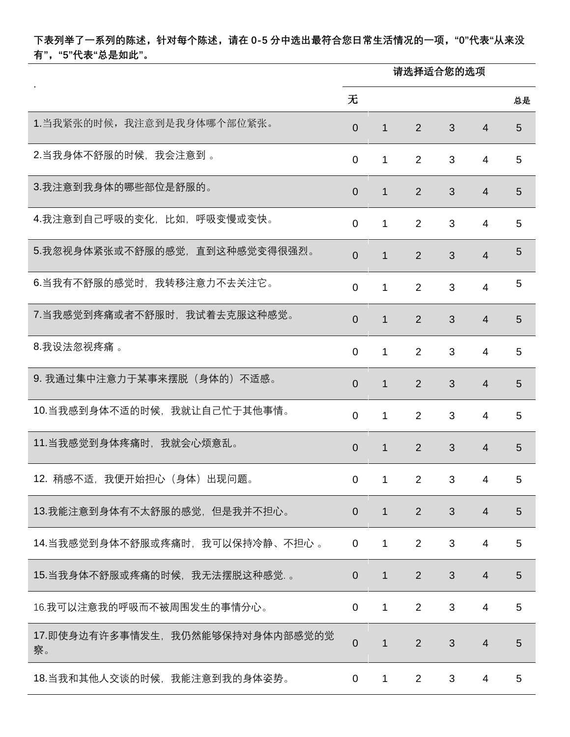下表列举了一系列的陈述,针对每个陈述,请在 0-5 分中选出最符合您日常生活情况的一项,"0"代表"从来没 有","5"代表"总是如此"。

|                                        | 请选择适合您的选项      |              |                |   |                |                 |  |
|----------------------------------------|----------------|--------------|----------------|---|----------------|-----------------|--|
|                                        | 无              |              |                |   |                | 总是              |  |
| 1. 当我紧张的时候, 我注意到是我身体哪个部位紧张。            | $\Omega$       | $\mathbf 1$  | 2              | 3 | $\overline{4}$ | 5               |  |
| 2.当我身体不舒服的时候,我会注意到。                    | $\mathbf 0$    | 1            | $\overline{2}$ | 3 | 4              | 5               |  |
| 3.我注意到我身体的哪些部位是舒服的。                    | $\overline{0}$ | 1            | $\overline{2}$ | 3 | $\overline{4}$ | 5               |  |
| 4.我注意到自己呼吸的变化,比如,呼吸变慢或变快。              | $\mathbf 0$    | 1            | 2              | 3 | 4              | 5               |  |
| 5.我忽视身体紧张或不舒服的感觉,直到这种感觉变得很强烈。          | $\overline{0}$ | 1            | $\overline{2}$ | 3 | $\overline{4}$ | 5               |  |
| 6.当我有不舒服的感觉时,我转移注意力不去关注它。              | $\Omega$       | 1            | 2              | 3 | $\overline{4}$ | 5               |  |
| 7.当我感觉到疼痛或者不舒服时,我试着去克服这种感觉。            | $\overline{0}$ | $\mathbf{1}$ | $\overline{2}$ | 3 | $\overline{4}$ | $5\phantom{.0}$ |  |
| 8.我设法忽视疼痛 。                            | $\mathbf 0$    | 1            | 2              | 3 | 4              | 5               |  |
| 9. 我通过集中注意力于某事来摆脱(身体的)不适感。             | $\overline{0}$ | 1            | $\overline{2}$ | 3 | $\overline{4}$ | 5               |  |
| 10.当我感到身体不适的时候,我就让自己忙于其他事情。            | $\mathbf 0$    | 1            | 2              | 3 | 4              | 5               |  |
| 11.当我感觉到身体疼痛时,我就会心烦意乱。                 | $\overline{0}$ | $\mathbf{1}$ | 2              | 3 | $\overline{4}$ | 5               |  |
| 12. 稍感不适, 我便开始担心 (身体) 出现问题。            | $\Omega$       | 1.           | $\mathcal{P}$  | 3 | $\mathbf 4$    | 5.              |  |
| 13.我能注意到身体有不太舒服的感觉,但是我并不担心。            | $\overline{0}$ | $\mathbf{1}$ | $\overline{2}$ | 3 | $\overline{4}$ | 5               |  |
| 14.当我感觉到身体不舒服或疼痛时,我可以保持冷静、不担心 。        | $\overline{0}$ | 1            | 2              | 3 | $\overline{4}$ | 5               |  |
| 15.当我身体不舒服或疼痛的时候,我无法摆脱这种感觉. 。          | $\overline{0}$ | $\mathbf{1}$ | 2              | 3 | $\overline{4}$ | 5               |  |
| 16.我可以注意我的呼吸而不被周围发生的事情分心。              | $\mathbf 0$    | 1            | $\overline{2}$ | 3 | 4              | 5               |  |
| 17.即使身边有许多事情发生, 我仍然能够保持对身体内部感觉的觉<br>察。 | $\overline{0}$ | $\mathbf{1}$ | $\overline{2}$ | 3 | $\overline{4}$ | $5\phantom{.}$  |  |
| 18.当我和其他人交谈的时候,我能注意到我的身体姿势。            | 0              | 1            | $\overline{2}$ | 3 | 4              | 5               |  |